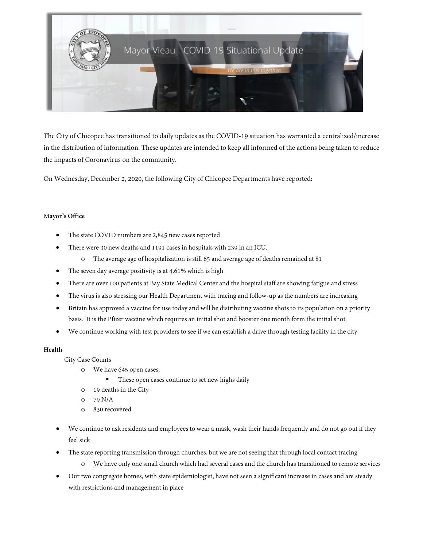

The City of Chicopee has transitioned to daily updates as the COVID-19 situation has warranted a centralized/increase in the distribution of information. These updates are intended to keep all informed of the actions being taken to reduce the impacts of Coronavirus on the community.

On Wednesday, December 2, 2020, the following City of Chicopee Departments have reported:

## M**ayor's Office**

- The state COVID numbers are 2,845 new cases reported
- There were 30 new deaths and 1191 cases in hospitals with 239 in an ICU.
	- o The average age of hospitalization is still 65 and average age of deaths remained at 81
- The seven day average positivity is at 4.61% which is high
- There are over 100 patients at Bay State Medical Center and the hospital staff are showing fatigue and stress
- The virus is also stressing our Health Department with tracing and follow-up as the numbers are increasing
- Britain has approved a vaccine for use today and will be distributing vaccine shots to its population on a priority basis. It is the Pfizer vaccine which requires an initial shot and booster one month form the initial shot
- We continue working with test providers to see if we can establish a drive through testing facility in the city

### **Health**

City Case Counts

- o We have 645 open cases.
	- These open cases continue to set new highs daily
- o 19 deaths in the City
- o 79 N/A
- o 830 recovered
- We continue to ask residents and employees to wear a mask, wash their hands frequently and do not go out if they feel sick
- The state reporting transmission through churches, but we are not seeing that through local contact tracing
	- o We have only one small church which had several cases and the church has transitioned to remote services
- Our two congregate homes, with state epidemiologist, have not seen a significant increase in cases and are steady with restrictions and management in place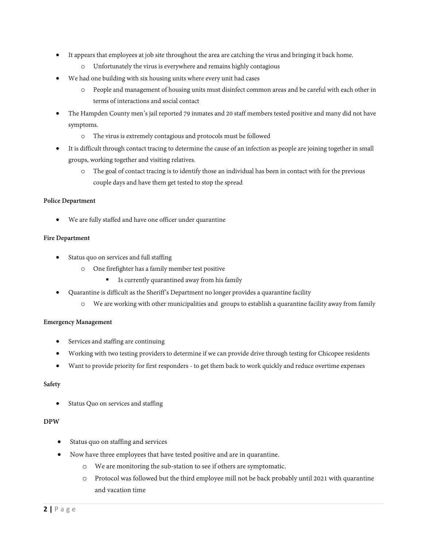- It appears that employees at job site throughout the area are catching the virus and bringing it back home.
	- o Unfortunately the virus is everywhere and remains highly contagious
- We had one building with six housing units where every unit had cases
	- o People and management of housing units must disinfect common areas and be careful with each other in terms of interactions and social contact
- The Hampden County men's jail reported 79 inmates and 20 staff members tested positive and many did not have symptoms.
	- o The virus is extremely contagious and protocols must be followed
- It is difficult through contact tracing to determine the cause of an infection as people are joining together in small groups, working together and visiting relatives.
	- o The goal of contact tracing is to identify those an individual has been in contact with for the previous couple days and have them get tested to stop the spread

#### **Police Department**

We are fully staffed and have one officer under quarantine

#### **Fire Department**

- Status quo on services and full staffing
	- o One firefighter has a family member test positive
		- Is currently quarantined away from his family
- Quarantine is difficult as the Sheriff's Department no longer provides a quarantine facility
	- o We are working with other municipalities and groups to establish a quarantine facility away from family

### **Emergency Management**

- Services and staffing are continuing
- Working with two testing providers to determine if we can provide drive through testing for Chicopee residents
- Want to provide priority for first responders to get them back to work quickly and reduce overtime expenses

## **Safety**

Status Quo on services and staffing

### **DPW**

- Status quo on staffing and services
- Now have three employees that have tested positive and are in quarantine.
	- o We are monitoring the sub-station to see if others are symptomatic.
	- o Protocol was followed but the third employee mill not be back probably until 2021 with quarantine and vacation time